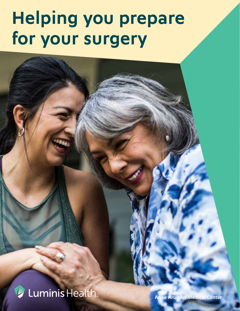# **Helping you prepare for your surgery**



**Anne Arundel Medical Center**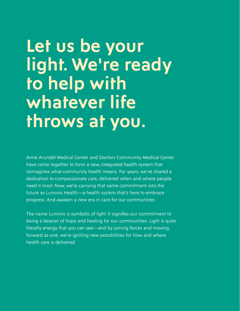## **Let us be your light. We're ready to help with whatever life throws at you.**

Anne Arundel Medical Center and Doctors Community Medical Center have come together to form a new, integrated health system that reimagines what community health means. For years, we've shared a dedication to compassionate care, delivered when and where people need it most. Now, we're carrying that same commitment into the future as Luminis Health—a health system that's here to embrace progress. And awaken a new era in care for our communities.

The name Luminis is symbolic of light. It signifies our commitment to being a beacon of hope and healing for our communities. Light is quite literally energy that you can see—and by joining forces and moving forward as one, we're igniting new possibilities for how and where health care is delivered.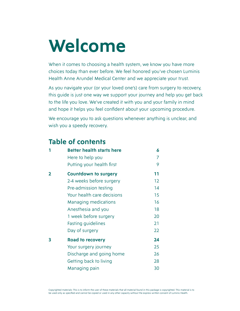## **Welcome**

When it comes to choosing a health system, we know you have more choices today than ever before. We feel honored you've chosen Luminis Health Anne Arundel Medical Center and we appreciate your trust.

As you navigate your (or your loved one's) care from surgery to recovery, this guide is just one way we support your journey and help you get back to the life you love. We've created it with you and your family in mind and hope it helps you feel confident about your upcoming procedure.

We encourage you to ask questions whenever anything is unclear, and wish you a speedy recovery.

### **Table of contents**

| 1            | <b>Better health starts here</b> | 6  |
|--------------|----------------------------------|----|
|              | Here to help you                 | 7  |
|              | Putting your health first        | 9  |
| $\mathbf{p}$ | <b>Countdown to surgery</b>      | 11 |
|              | 2-4 weeks before surgery         | 12 |
|              | Pre-admission resting            | 14 |
|              | Your health care decisions       | 15 |
|              | Managing medications             | 16 |
|              | Anesthesia and you               | 18 |
|              | 1 week before surgery            | 20 |
|              | <b>Fasting guidelines</b>        | 21 |
|              | Day of surgery                   | 22 |
| 3            | <b>Road to recovery</b>          | 24 |
|              | Your surgery journey             | 25 |
|              | Discharge and going home         | 26 |
|              | Getting back to living           | 28 |
|              | Managing pain                    | 30 |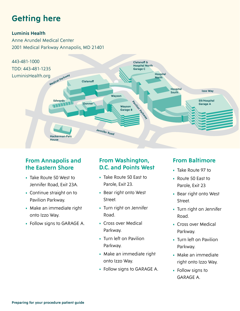## **Getting here**

### **Luminis Health**

Anne Arundel Medical Center 2001 Medical Parkway Annapolis, MD 21401



### **From Annapolis and the Eastern Shore**

- Take Route 50 West to Jennifer Road, Exit 23A.
- Continue straight on to Pavilion Parkway.
- Make an immediate right onto Izzo Way.
- Follow signs to GARAGE A.

### **From Washington, D.C. and Points West**

- Take Route 50 East to Parole, Exit 23.
- Bear right onto West Street.
- Turn right on Jennifer Road.
- Cross over Medical Parkway.
- Turn left on Pavilion Parkway.
- Make an immediate right onto Izzo Way.
- Follow signs to GARAGE A.

### **From Baltimore**

- Take Route 97 to
- Route 50 East to Parole, Exit 23
- Bear right onto West Street.
- Turn right on Jennifer Road.
- Cross over Medical Parkway.
- Turn left on Pavilion Parkway.
- Make an immediate right onto Izzo Way.
- Follow signs to GARAGE A.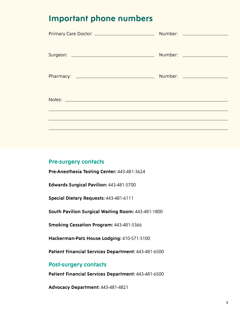### **Important phone numbers**

| Primary Care Doctor: ___________________________ | Number: ____________________ |
|--------------------------------------------------|------------------------------|
|                                                  |                              |
|                                                  |                              |
|                                                  |                              |
|                                                  |                              |
|                                                  |                              |

### **Pre-surgery contacts**

**Pre-Anesthesia Testing Center:** 443-481-3624

**Edwards Surgical Pavilion:** 443-481-5700

**Special Dietary Requests:** 443-481-6111

**South Pavilion Surgical Waiting Room:** 443-481-1800

**Smoking Cessation Program:** 443-481-5366

**Hackerman-Patz House Lodging:** 410-571-3100

**Patient Financial Services Department:** 443-481-6500

### **Post-surgery contacts**

**Patient Financial Services Department:** 443-481-6500

**Advocacy Department:** 443-481-4821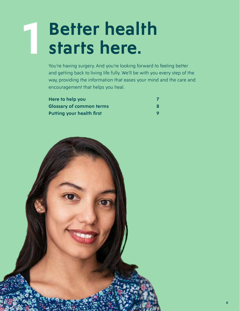## **1 Better health starts here.**

You're having surgery. And you're looking forward to feeling better and getting back to living life fully. We'll be with you every step of the way, providing the information that eases your mind and the care and encouragement that helps you heal.

| Here to help you                 |   |
|----------------------------------|---|
| <b>Glossary of common terms</b>  | 8 |
| <b>Putting your health first</b> | 9 |

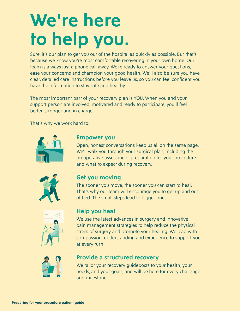## **We're here to help you.**

Sure, it's our plan to get you out of the hospital as quickly as possible. But that's because we know you're most comfortable recovering in your own home. Our team is always just a phone call away. We're ready to answer your questions, ease your concerns and champion your good health. We'll also be sure you have clear, detailed care instructions before you leave us, so you can feel confident you have the information to stay safe and healthy.

The most important part of your recovery plan is YOU. When you and your support person are involved, motivated and ready to participate, you'll feel better, stronger and in charge.

That's why we work hard to:



### **Empower you**

Open, honest conversations keep us all on the same page. We'll walk you through your surgical plan, including the preoperative assessment, preparation for your procedure and what to expect during recovery.



### **Get you moving**

The sooner you move, the sooner you can start to heal. That's why our team will encourage you to get up and out of bed. The small steps lead to bigger ones.



### **Help you heal**

We use the latest advances in surgery and innovative pain management strategies to help reduce the physical stress of surgery and promote your healing. We lead with compassion, understanding and experience to support you at every turn.



### **Provide a structured recovery**

We tailor your recovery guideposts to your health, your needs, and your goals, and will be here for every challenge and milestone.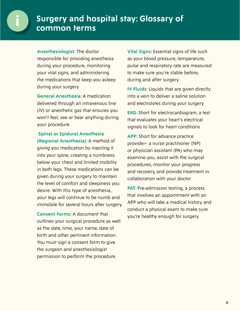**Anesthesiologist:** The doctor responsible for providing anesthesia during your procedure, monitoring your vital signs, and administering the medications that keep you asleep during your surgery

**General Anesthesia:** A medication delivered through an intravenous line (IV) or anesthetic gas that ensures you won't feel, see or hear anything during your procedure.

### **Spinal or Epidural Anesthesia (Regional Anesthesia):** A method of giving you medication by injecting it into your spine, creating a numbness below your chest and limited mobility in both legs. These medications can be given during your surgery to maintain the level of comfort and sleepiness you desire. With this type of anesthesia, your legs will continue to be numb and immobile for several hours after surgery.

**Consent Forms:** A document that outlines your surgical procedure as well as the date, time, your name, date of birth and other pertinent information. You must sign a consent form to give the surgeon and anesthesiologist permission to perform the procedure.

**Vital Signs:** Essential signs of life such as your blood pressure, temperature, pulse and respiratory rate are measured to make sure you're stable before, during and after surgery.

**IV Fluids:** Liquids that are given directly into a vein to deliver a saline solution and electrolytes during your surgery

**EKG:** Short for electrocardiogram, a test that evaluates your heart's electrical signals to look for heart conditions

**APP:** Short for advance practice provider-- a nurse practitioner (NP) or physician assistant (PA) who may examine you, assist with the surgical procedures, monitor your progress and recovery, and provide treatment in collaboration with your doctor

**PAT:** Pre-admission testing, a process that involves an appointment with an APP who will take a medical history and conduct a physical exam to make sure you're healthy enough for surgery.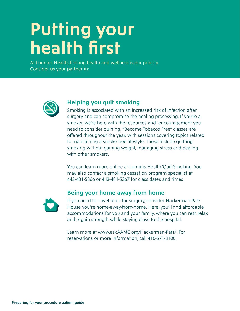## **Putting your health first**

At Luminis Health, lifelong health and wellness is our priority. Consider us your partner in:



### **Helping you quit smoking**

Smoking is associated with an increased risk of infection after surgery and can compromise the healing processing. If you're a smoker, we're here with the resources and encouragement you need to consider quitting. "Become Tobacco Free" classes are offered throughout the year, with sessions covering topics related to maintaining a smoke-free lifestyle. These include quitting smoking without gaining weight, managing stress and dealing with other smokers.

You can learn more online a[t Luminis.Health/Quit-Smoking. Yo](https://aahs.org/Improve-Your-Health/Improve-Your-Body/Quit-Smoking/?sq=%20&p=1)u may also contact a smoking cessation program specialist at 443-481-5366 or 443-481-5367 for class dates and times.

### **Being your home away from home**



If you need to travel to us for surgery, consider Hackerman-Patz House you're home-away-from-home. Here, you'll find affordable accommodations for you and your family, where you can rest, relax and regain strength while staying close to the hospital.

Learn more at [www.askAAMC.org/Hackerman-Patz/.](https://aahs.org/hackerman-patz/) For reservations or more information, call 410-571-3100.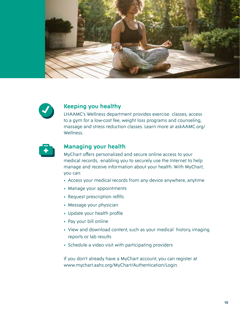



### **Keeping you healthy**

LHAAMC's Wellness department provides exercise classes, access to a gym for a low-cost fee, weight loss programs and counseling, massage and stress reduction classes. Learn more at [askAAMC.org/](https://aahs.org/wellness/) [Wellness.](https://aahs.org/wellness/)



### **Managing your health**

MyChart offers personalized and secure online access to your medical records, enabling you to securely use the Internet to help manage and receive information about your health. With MyChart, you can:

- Access your medical records from any device anywhere, anytime
- Manage your appointments
- Request prescription refills
- Message your physician
- Update your health profile
- Pay your bill online
- View and download content, such as your medical history, imaging reports or lab results
- Schedule a video visit with participating providers

If you don't already have a MyChart account, you can register at [www.mychart.aahs.org/MyChart/Authentication/Login.](www.mychart.aahs.org/MyChart/Authentication/Login)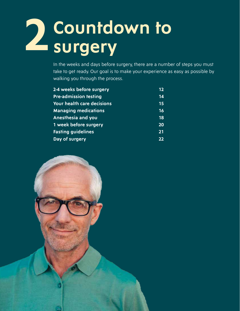## **2 Countdown to surgery**

In the weeks and days before surgery, there are a number of steps you must take to get ready. Our goal is to make your experience as easy as possible by walking you through the process.

| 2-4 weeks before surgery          | 12 |
|-----------------------------------|----|
| <b>Pre-admission testing</b>      | 14 |
| <b>Your health care decisions</b> | 15 |
| <b>Managing medications</b>       | 16 |
| <b>Anesthesia and you</b>         | 18 |
| 1 week before surgery             | 20 |
| <b>Fasting guidelines</b>         | 21 |
| Day of surgery                    | 22 |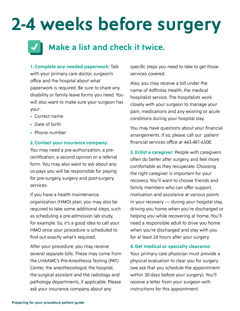# **2-4 weeks before surgery**

## **Make a list and check it twice.**

**1. Complete any needed paperwork:** Talk with your primary care doctor, surgeon's office and the hospital about what paperwork is required. Be sure to share any disability or family leave forms you need. You will also want to make sure your surgeon has your:

- Correct name
- Date of birth
- Phone number

### **2. Contact your insurance company:**

You may need a pre-authorization, a precertification, a second opinion or a referral form. You may also want to ask about any co-pays you will be responsible for paying for pre-surgery, surgery and post-surgery services.

If you have a health maintenance organization (HMO) plan, you may also be required to take some additional steps, such as scheduling a pre-admission lab study, for example. So, it's a good idea to call your HMO once your procedure is scheduled to find out exactly what's required.

After your procedure, you may receive several separate bills. These may come from the LHAAMC's Pre-Anesthesia Testing (PAT) Center, the anesthesiologist, the hospital, the surgical assistant and the radiology and pathology departments, if applicable. Please ask your insurance company about any

specific steps you need to take to get those services covered.

Also, you may receive a bill under the name of Adfinitas Health, the medical hospitalist service. The hospitalists work closely with your surgeon to manage your pain, medications and any existing or acute conditions during your hospital stay.

You may have questions about your financial arrangements. If so, please call our patient financial services office at 443-481-6500.

**3. Enlist a caregiver:** People with caregivers often do better after surgery, and feel more comfortable as they recuperate. Choosing the right caregiver is important for your recovery. You'll want to choose friends and family members who can offer support, motivation and assistance at various points in your recovery — during your hospital stay, driving you home when you're discharged or helping you while recovering at home. You'll need a responsible adult to drive you home when you're discharged and stay with you for at least 24 hours after your surgery.

### **4. Get medical or specialty clearance:**

Your primary care physician must provide a physical evaluation to clear you for surgery (we ask that you schedule the appointment within 30 days before your surgery). You'll receive a letter from your surgeon with instructions for this appointment.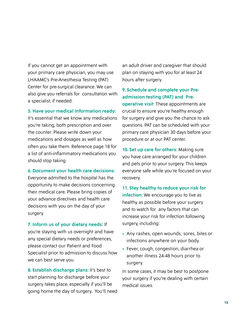If you cannot get an appointment with your primary care physician, you may use LHAAMC's Pre-Anesthesia Testing (PAT) Center for pre-surgical clearance. We can also give you referrals for consultation with a specialist, if needed.

#### **5. Have your medical information ready:**

It's essential that we know any medications you're taking, both prescription and over the counter. Please write down your medications and dosages as well as how often you take them. Reference page 18 for a list of anti-inflammatory medications you should stop taking.

#### **6. Document your health care decisions:**

Everyone admitted to the hospital has the opportunity to make decisions concerning their medical care. Please bring copies of your advance directives and health care decisions with you on the day of your surgery.

**7. Inform us of your dietary needs:** If you're staying with us overnight and have any special dietary needs or preferences, please contact our Patient and Food Specialist prior to admission to discuss how we can best serve you.

**8. Establish discharge plans:** It's best to start planning for discharge before your surgery takes place, especially if you'll be going home the day of surgery. You'll need an adult driver and caregiver that should plan on staying with you for at least 24 hours after surgery.

**9. Schedule and complete your Preadmission testing (PAT) and Preoperative visit**: These appointments are crucial to ensure you're healthy enough for surgery and give you the chance to ask questions. PAT can be scheduled with your primary care physician 30 days before your procedure or at our PAT center.

**10. Set up care for others:** Making sure you have care arranged for your children and pets prior to your surgery. This keeps everyone safe while you're focused on your recovery.

**11. Stay healthy to reduce your risk for infection:** We encourage you to live as healthy as possible before your surgery and to watch for any factors that can increase your risk for infection following surgery, including:

- Any rashes, open wounds, sores, bites or infections anywhere on your body.
- Fever, cough, congestion, diarrhea or another illness 24-48 hours prior to surgery.

In some cases, it may be best to postpone your surgery if you're dealing with certain medical issues.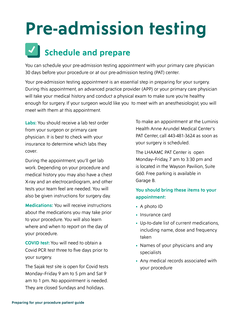# **Pre-admission testing**

## Schedule and prepare

You can schedule your pre-admission testing appointment with your primary care physician 30 days before your procedure or at our pre-admission testing (PAT) center.

Your pre-admission testing appointment is an essential step in preparing for your surgery. During this appointment, an advanced practice provider (APP) or your primary care physician will take your medical history and conduct a physical exam to make sure you're healthy enough for surgery. If your surgeon would like you to meet with an anesthesiologist, you will meet with them at this appointment.

**Labs:** You should receive a lab test order from your surgeon or primary care physician. It is best to check with your insurance to determine which labs they cover.

During the appointment, you'll get lab work. Depending on your procedure and medical history you may also have a chest X-ray and an electrocardiogram, and other tests your team feel are needed. You will also be given instructions for surgery day.

**Medications:** You will receive instructions about the medications you may take prior to your procedure. You will also learn where and when to report on the day of your procedure.

**COVID test:** You will need to obtain a Covid PCR test three to five days prior to your surgery.

The Sajak test site is open for Covid tests Monday–Friday 9 am to 5 pm and Sat 9 am to 1 pm. No appointment is needed. They are closed Sundays and holidays.

To make an appointment at the Luminis Health Anne Arundel Medical Center's PAT Center, call 443-481-3624 as soon as your surgery is scheduled.

The LHAAMC PAT Center is open Monday–Friday, 7 am to 3:30 pm and is located in the Wayson Pavilion, Suite G60. Free parking is available in Garage B.

### **You should bring these items to your appointment:**

- A photo ID
- Insurance card
- Up-to-date list of current medications, including name, dose and frequency taken
- Names of your physicians and any specialists
- Any medical records associated with your procedure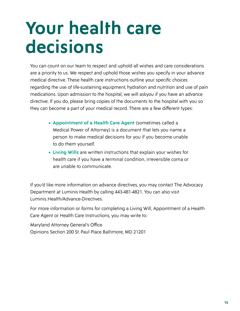## **Your health care decisions**

You can count on our team to respect and uphold all wishes and care considerations are a priority to us. We respect and uphold those wishes you specify in your advance medical directive. These health care instructions outline your specific choices regarding the use of life-sustaining equipment, hydration and nutrition and use of pain medications. Upon admission to the hospital, we will askyou if you have an advance directive. If you do, please bring copies of the documents to the hospital with you so they can become a part of your medical record. There are a few different types:

- **• Appointment of a Health Care Agent** (sometimes called a Medical Power of Attorney) is a document that lets you name a person to make medical decisions for you if you become unable to do them yourself.
- **• Living Wills** are written instructions that explain your wishes for health care if you have a terminal condition, irreversible coma or are unable to communicate.

If you'd like more information on advance directives, you may contact The Advocacy Department at Luminis Health by calling 443-481-4821. You can also visit [Luminis.Health/Advance-Directives.](Luminis.Health/Advance-Directive)

For more information or forms for completing a Living Will, Appointment of a Health Care Agent or Health Care Instructions, you may write to:

Maryland Attorney General's Office Opinions Section 200 St. Paul Place Baltimore, MD 21201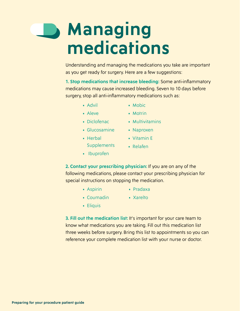## **Managing medications**

Understanding and managing the medications you take are important as you get ready for surgery. Here are a few suggestions:

**1. Stop medications that increase bleeding:** Some anti-inflammatory medications may cause increased bleeding. Seven to 10 days before surgery, stop all anti-inflammatory medications such as:

- Advil
- Mobic
- Aleve Motrin
- Diclofenac Multivitamins
- Glucosamine Naproxen
	- Vitamin E
- Herbal **Supplements**
- Relafen
- Ibuprofen
- 

**2. Contact your prescribing physician:** If you are on any of the following medications, please contact your prescribing physician for special instructions on stopping the medication.

- Aspirin
- Pradaxa
- Coumadin Xarelto
- 
- Eliquis

**3. Fill out the medication list:** It's important for your care team to know what medications you are taking. Fill out this medication list three weeks before surgery. Bring this list to appointments so you can reference your complete medication list with your nurse or doctor.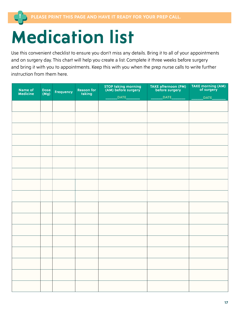# **Medication list**

**!**

Use this convenient checklist to ensure you don't miss any details. Bring it to all of your appointments and on surgery day. This chart will help you create a list. Complete it three weeks before surgery and bring it with you to appointments. Keep this with you when the prep nurse calls to write further instruction from them here.

| <b>Name of</b><br><b>Medicine</b> | Dose<br>(Mg) | <b>Frequency</b> | Reason for<br>taking | STOP taking morning<br>(AM) before surgery | TAKE afternoon (PM)<br>before surgery                                                   | TAKE morning (AM)<br>of surgery                                                                                                 |
|-----------------------------------|--------------|------------------|----------------------|--------------------------------------------|-----------------------------------------------------------------------------------------|---------------------------------------------------------------------------------------------------------------------------------|
|                                   |              |                  |                      | __DATE________                             | $\begin{array}{ c c c }\n\hline\n\text{DATE}\hspace{.2cm} & \hspace{.2cm}\n\end{array}$ | DATE__<br><b>Contract Contract Contract Contract Contract Contract Contract Contract Contract Contract Contract Contract Co</b> |
|                                   |              |                  |                      |                                            |                                                                                         |                                                                                                                                 |
|                                   |              |                  |                      |                                            |                                                                                         |                                                                                                                                 |
|                                   |              |                  |                      |                                            |                                                                                         |                                                                                                                                 |
|                                   |              |                  |                      |                                            |                                                                                         |                                                                                                                                 |
|                                   |              |                  |                      |                                            |                                                                                         |                                                                                                                                 |
|                                   |              |                  |                      |                                            |                                                                                         |                                                                                                                                 |
|                                   |              |                  |                      |                                            |                                                                                         |                                                                                                                                 |
|                                   |              |                  |                      |                                            |                                                                                         |                                                                                                                                 |
|                                   |              |                  |                      |                                            |                                                                                         |                                                                                                                                 |
|                                   |              |                  |                      |                                            |                                                                                         |                                                                                                                                 |
|                                   |              |                  |                      |                                            |                                                                                         |                                                                                                                                 |
|                                   |              |                  |                      |                                            |                                                                                         |                                                                                                                                 |
|                                   |              |                  |                      |                                            |                                                                                         |                                                                                                                                 |
|                                   |              |                  |                      |                                            |                                                                                         |                                                                                                                                 |
|                                   |              |                  |                      |                                            |                                                                                         |                                                                                                                                 |
|                                   |              |                  |                      |                                            |                                                                                         |                                                                                                                                 |
|                                   |              |                  |                      |                                            |                                                                                         |                                                                                                                                 |
|                                   |              |                  |                      |                                            |                                                                                         |                                                                                                                                 |
|                                   |              |                  |                      |                                            |                                                                                         |                                                                                                                                 |
|                                   |              |                  |                      |                                            |                                                                                         |                                                                                                                                 |
|                                   |              |                  |                      |                                            |                                                                                         |                                                                                                                                 |
|                                   |              |                  |                      |                                            |                                                                                         |                                                                                                                                 |
|                                   |              |                  |                      |                                            |                                                                                         |                                                                                                                                 |
|                                   |              |                  |                      |                                            |                                                                                         |                                                                                                                                 |
|                                   |              |                  |                      |                                            |                                                                                         |                                                                                                                                 |
|                                   |              |                  |                      |                                            |                                                                                         |                                                                                                                                 |
|                                   |              |                  |                      |                                            |                                                                                         |                                                                                                                                 |
|                                   |              |                  |                      |                                            |                                                                                         |                                                                                                                                 |
|                                   |              |                  |                      |                                            |                                                                                         |                                                                                                                                 |
|                                   |              |                  |                      |                                            |                                                                                         |                                                                                                                                 |
|                                   |              |                  |                      |                                            |                                                                                         |                                                                                                                                 |
|                                   |              |                  |                      |                                            |                                                                                         |                                                                                                                                 |
|                                   |              |                  |                      |                                            |                                                                                         |                                                                                                                                 |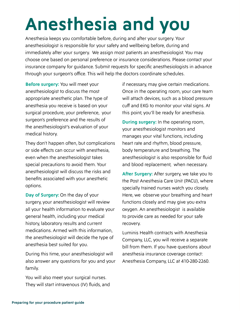# **Anesthesia and you**

Anesthesia keeps you comfortable before, during and after your surgery. Your anesthesiologist is responsible for your safety and wellbeing before, during and immediately after your surgery. We assign most patients an anesthesiologist. You may choose one based on personal preference or insurance considerations. Please contact your insurance company for guidance. Submit requests for specific anesthesiologists in advance through your surgeon's office. This will help the doctors coordinate schedules.

**Before surgery:** You will meet your anesthesiologist to discuss the most appropriate anesthetic plan. The type of anesthesia you receive is based on your surgical procedure, your preference, your surgeon's preference and the results of the anesthesiologist's evaluation of your medical history.

They don't happen often, but complications or side effects can occur with anesthesia, even when the anesthesiologist takes special precautions to avoid them. Your anesthesiologist will discuss the risks and benefits associated with your anesthetic options.

**Day of Surgery:** On the day of your surgery, your anesthesiologist will review all your health information to evaluate your general health, including your medical history, laboratory results and current medications. Armed with this information, the anesthesiologist will decide the type of anesthesia best suited for you.

During this time, your anesthesiologist will also answer any questions for you and your family.

You will also meet your surgical nurses. They will start intravenous (IV) fluids, and if necessary, may give certain medications. Once in the operating room, your care team will attach devices, such as a blood pressure cuff and EKG to monitor your vital signs. At this point, you'll be ready for anesthesia.

**During surgery:** In the operating room, your anesthesiologist monitors and manages your vital functions, including heart rate and rhythm, blood pressure, body temperature and breathing. The anesthesiologist is also responsible for fluid and blood replacement, when necessary.

**After Surgery:** After surgery, we take you to the Post Anesthesia Care Unit (PACU), where specially trained nurses watch you closely. Here, we observe your breathing and heart functions closely and may give you extra oxygen. An anesthesiologist is available to provide care as needed for your safe recovery.

Luminis Health contracts with Anesthesia Company, LLC, you will receive a separate bill from them. If you have questions about anesthesia insurance coverage contact: Anesthesia Company, LLC at 410-280-2260.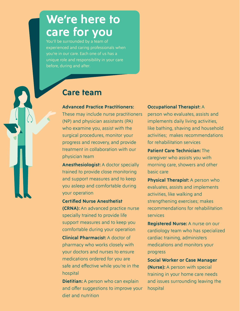## **We're here to care for you**

You'll be surrounded by a team of experienced and caring professionals when you're in our care. Each one of us has a unique role and responsibility in your care before, during and after.

### **Care team**

#### **Advanced Practice Practitioners:**

These may include nurse practitioners (NP) and physician assistants (PA) who examine you, assist with the surgical procedures, monitor your progress and recovery, and provide treatment in collaboration with our physician team

**Anesthesiologist:** A doctor specially trained to provide close monitoring and support measures and to keep you asleep and comfortable during your operation

#### **Certified Nurse Anesthetist**

**(CRNA):** An advanced practice nurse specially trained to provide life support measures and to keep you comfortable during your operation

**Clinical Pharmacist:** A doctor of pharmacy who works closely with your doctors and nurses to ensure medications ordered for you are safe and effective while you're in the hospital

**Dietitian:** A person who can explain and offer suggestions to improve your diet and nutrition

#### **Occupational Therapist:** A

person who evaluates, assists and implements daily living activities, like bathing, shaving and household activities; makes recommendations for rehabilitation services

**Patient Care Technician:** The caregiver who assists you with morning care, showers and other basic care

**Physical Therapist:** A person who evaluates, assists and implements activities, like walking and strengthening exercises; makes recommendations for rehabilitation services

**Registered Nurse:** A nurse on our cardiology team who has specialized cardiac training, administers medications and monitors your progress

**Social Worker or Case Manager (Nurse):** A person with special training in your home care needs and issues surrounding leaving the hospital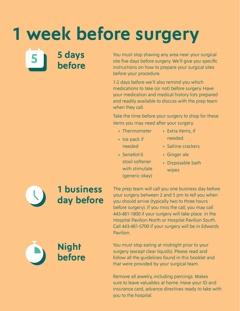# **1 week before surgery**

You must stop shaving any area near your surgical site five days before surgery. We'll give you specific instructions on how to prepare your surgical sites before your procedure.

1-2 days before we'll also remind you which medications to take (or not) before surgery. Have your medication and medical history lists prepared and readily available to discuss with the prep team when they call.

Take the time before your surgery to shop for these items you may need after your surgery.

- Thermometer
- Ice pack if needed
- needed:

• Extra Items, if

- Saltine crackers
	- Ginger ale
- SeneKot-S stool softener with stimulate (generic okay)
- Disposable bath wipes

**5**

**1 business day before**

**5 days** 

**before**

The prep team will call you one business day before your surgery between 2 and 5 pm to tell you when you should arrive (typically two to three hours before surgery). If you miss the call, you may call 443-481-1800 if your surgery will take place in the Hospital Pavilion North or Hospital Pavilion South. Call 443-481-5700 if your surgery will be in Edwards Pavilion.

**Night before**

You must stop eating at midnight prior to your surgery (except clear liquids). Please read and follow all the guidelines found in this booklet and that were provided by your surgical team.

Remove all jewelry, including piercings. Makes sure to leave valuables at home. Have your ID and insurance card, advance directives ready to take with you to the hospital.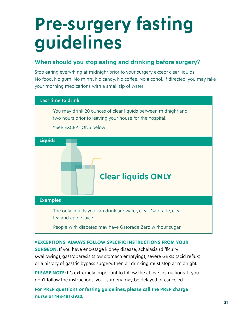## **Pre-surgery fasting guidelines**

### **When should you stop eating and drinking before surgery?**

Stop eating everything at midnight prior to your surgery except clear liquids. No food. No gum. No mints. No candy. No coffee. No alcohol. If directed, you may take your morning medications with a small sip of water.



### **\*EXCEPTIONS: ALWAYS FOLLOW SPECIFIC INSTRUCTIONS FROM YOUR**

**SURGEON.** If you have end-stage kidney disease, achalasia (difficulty) swallowing), gastroparesis (slow stomach emptying), severe GERD (acid reflux) or a history of gastric bypass surgery, then all drinking must stop at midnight.

**PLEASE NOTE:** It's extremely important to follow the above instructions. If you don't follow the instructions, your surgery may be delayed or canceled.

**For PREP questions or fasting guidelines, please call the PREP charge nurse at 443-481-3920.**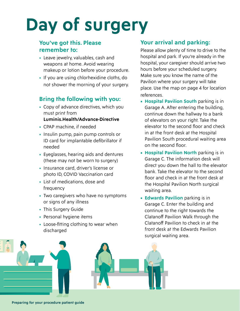# **Day of surgery**

### **You've got this. Please remember to:**

- Leave jewelry, valuables, cash and weapons at home. Avoid wearing makeup or lotion before your procedure.
- If you are using chlorhexidine cloths, do not shower the morning of your surgery.

### **Bring the following with you:**

• Copy of advance directives, which you must print from

### **<Luminis.Health/Advance-Directive>**

- CPAP machine, if needed
- Insulin pump, pain pump controls or ID card for implantable defibrillator if needed
- Eyeglasses, hearing aids and dentures (these may not be worn to surgery)
- Insurance card, driver's license or photo ID, COVID Vaccination card
- List of medications, dose and frequency
- Two caregivers who have no symptoms or signs of any illness
- This Surgery Guide
- Personal hygiene items
- Loose-fitting clothing to wear when discharged

### **Your arrival and parking:**

Please allow plenty of time to drive to the hospital and park. If you're already in the hospital, your caregiver should arrive two hours before your scheduled surgery. Make sure you know the name of the Pavilion where your surgery will take place. Use the map on page 4 for location references.

- **• Hospital Pavilion South** parking is in Garage A. After entering the building, continue down the hallway to a bank of elevators on your right. Take the elevator to the second floor and check in at the front desk at the Hospital Pavilion South procedural waiting area on the second floor.
- **• Hospital Pavilion North** parking is in Garage C. The information desk will direct you down the hall to the elevator bank. Take the elevator to the second floor and check in at the front desk at the Hospital Pavilion North surgical waiting area.
- **• Edwards Pavilion** parking is in Garage C. Enter the building and continue to the right towards the Clatanoff Pavilion Walk through the Clatanoff Pavilion to check in at the front desk at the Edwards Pavilion surgical waiting area.

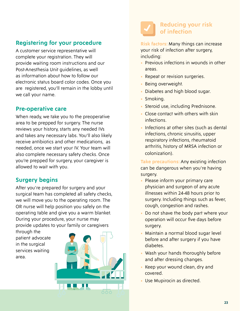### **Registering for your procedure**

A customer service representative will complete your registration. They will provide waiting room instructions and our Post-Anesthesia Unit guidelines, as well as information about how to follow our electronic status board color codes. Once you are registered, you'll remain in the lobby until we call your name.

### **Pre-operative care**

When ready, we take you to the preoperative area to be prepped for surgery. The nurse reviews your history, starts any needed IVs and takes any necessary labs. You'll also likely receive antibiotics and other medications, as needed, once we start your IV. Your team will also complete necessary safety checks. Once you're prepped for surgery, your caregiver is allowed to wait with you.

### **Surgery begins**

After you're prepared for surgery and your surgical team has completed all safety checks, we will move you to the operating room. The OR nurse will help position you safely on the operating table and give you a warm blanket. During your procedure, your nurse may provide updates to your family or caregivers

through the patient advocate in the surgical services waiting area.



### **Reducing your risk of infection**

**Risk factors:** Many things can increase your risk of infection after surgery, including:

- Previous infections in wounds in other areas.
- Repeat or revision surgeries.
- Being overweight.
- Diabetes and high blood sugar.
- Smoking.
- Steroid use, including Prednisone.
- Close contact with others with skin infections.
- Infections at other sites (such as dental infections, chronic sinusitis, upper respiratory infections, rheumatoid arthritis, history of MRSA infection or colonization).

**Take precautions:** Any existing infection can be dangerous when you're having surgery.

- Please inform your primary care physician and surgeon of any acute illnesses within 24-48 hours prior to surgery. Including things such as fever, cough, congestion and rashes.
- Do not shave the body part where your operation will occur five days before surgery.
- Maintain a normal blood sugar level before and after surgery if you have diabetes.
- Wash your hands thoroughly before and after dressing changes.
- Keep your wound clean, dry and covered.
- Use Mupirocin as directed.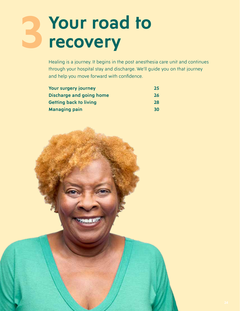## **3 Your road to recovery**

Healing is a journey. It begins in the post anesthesia care unit and continues through your hospital stay and discharge. We'll guide you on that journey and help you move forward with confidence.

| Your surgery journey          | 25 <sub>1</sub> |
|-------------------------------|-----------------|
| Discharge and going home      | 26              |
| <b>Getting back to living</b> | 28              |
| <b>Managing pain</b>          | 30              |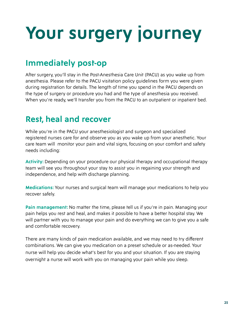# **Your surgery journey**

## **Immediately post-op**

After surgery, you'll stay in the Post-Anesthesia Care Unit (PACU) as you wake up from anesthesia. Please refer to the PACU visitation policy guidelines form you were given during registration for details. The length of time you spend in the PACU depends on the type of surgery or procedure you had and the type of anesthesia you received. When you're ready, we'll transfer you from the PACU to an outpatient or inpatient bed.

### **Rest, heal and recover**

While you're in the PACU your anesthesiologist and surgeon and specialized registered nurses care for and observe you as you wake up from your anesthetic. Your care team will monitor your pain and vital signs, focusing on your comfort and safety needs including:

**Activity:** Depending on your procedure our physical therapy and occupational therapy team will see you throughout your stay to assist you in regaining your strength and independence, and help with discharge planning.

**Medications:** Your nurses and surgical team will manage your medications to help you recover safely.

**Pain management:** No matter the time, please tell us if you're in pain. Managing your pain helps you rest and heal, and makes it possible to have a better hospital stay. We will partner with you to manage your pain and do everything we can to give you a safe and comfortable recovery.

There are many kinds of pain medication available, and we may need to try different combinations. We can give you medication on a preset schedule or as-needed. Your nurse will help you decide what's best for you and your situation. If you are staying overnight a nurse will work with you on managing your pain while you sleep.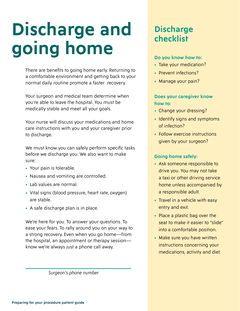# **Discharge and going home**

There are benefits to going home early. Returning to a comfortable environment and getting back to your normal daily routine promote a faster recovery.

Your surgeon and medical team determine when you're able to leave the hospital. You must be medically stable and meet all your goals.

Your nurse will discuss your medications and home care instructions with you and your caregiver prior to discharge.

We must know you can safely perform specific tasks before we discharge you. We also want to make sure:

- Your pain is tolerable.
- Nausea and vomiting are controlled.
- Lab values are normal.
- Vital signs (blood pressure, heart rate, oxygen) are stable.
- A safe discharge plan is in place.

We're here for you. To answer your questions. To ease your fears. To rally around you on your way to a strong recovery. Even when you go home—from the hospital, an appointment or therapy session know we're always just a phone call away.

*Surgeon's phone number*

## **Discharge checklist**

#### **Do you know how to:**

- Take your medication?
- Prevent infections?
- Manage your pain?

### **Does your caregiver know how to:**

- Change your dressing?
- Identify signs and symptoms of infection?
- Follow exercise instructions given by your surgeon?

### **Going home safely:**

- Ask someone responsible to drive you. You may not take a taxi or other driving service home unless accompanied by a responsible adult.
- Travel in a vehicle with easy entry and exit.
- Place a plastic bag over the seat to make it easier to "slide" into a comfortable position.
- Make sure you have written instructions concerning your medications, activity and diet.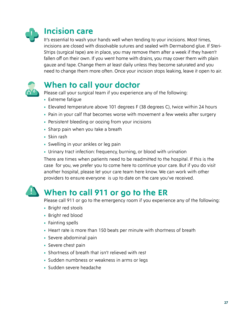

### **Incision care**

It's essential to wash your hands well when tending to your incisions. Most times, incisions are closed with dissolvable sutures and sealed with Dermabond glue. If Steri-Strips (surgical tape) are in place, you may remove them after a week if they haven't fallen off on their own. If you went home with drains, you may cover them with plain gauze and tape. Change them at least daily unless they become saturated and you need to change them more often. Once your incision stops leaking, leave it open to air.



## **When to call your doctor**

Please call your surgical team if you experience any of the following:

- Extreme fatigue
- Elevated temperature above 101 degrees F (38 degrees C), twice within 24 hours
- Pain in your calf that becomes worse with movement a few weeks after surgery
- Persistent bleeding or oozing from your incisions
- Sharp pain when you take a breath
- Skin rash
- Swelling in your ankles or leg pain
- Urinary tract infection: frequency, burning, or blood with urination

There are times when patients need to be readmitted to the hospital. If this is the case for you, we prefer you to come here to continue your care. But if you do visit another hospital, please let your care team here know. We can work with other providers to ensure everyone is up to date on the care you've received.



### **When to call 911 or go to the ER**

Please call 911 or go to the emergency room if you experience any of the following:

- Bright red stools
- Bright red blood
- Fainting spells
- Heart rate is more than 150 beats per minute with shortness of breath
- Severe abdominal pain
- Severe chest pain
- Shortness of breath that isn't relieved with rest
- Sudden numbness or weakness in arms or legs
- Sudden severe headache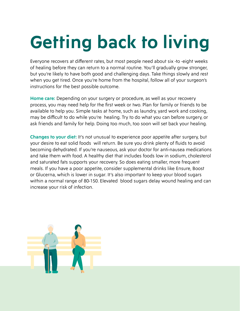# **Getting back to living**

Everyone recovers at different rates, but most people need about six -to -eight weeks of healing before they can return to a normal routine. You'll gradually grow stronger, but you're likely to have both good and challenging days. Take things slowly and rest when you get tired. Once you're home from the hospital, follow all of your surgeon's instructions for the best possible outcome.

**Home care:** Depending on your surgery or procedure, as well as your recovery process, you may need help for the first week or two. Plan for family or friends to be available to help you. Simple tasks at home, such as laundry, yard work and cooking, may be difficult to do while you're healing. Try to do what you can before surgery, or ask friends and family for help. Doing too much, too soon will set back your healing.

**Changes to your diet:** It's not unusual to experience poor appetite after surgery, but your desire to eat solid foods will return. Be sure you drink plenty of fluids to avoid becoming dehydrated. If you're nauseous, ask your doctor for anti-nausea medications and take them with food. A healthy diet that includes foods low in sodium, cholesterol and saturated fats supports your recovery. So does eating smaller, more frequent meals. If you have a poor appetite, consider supplemental drinks like Ensure, Boost or Glucerna, which is lower in sugar. It's also important to keep your blood sugars within a normal range of 80-150. Elevated blood sugars delay wound healing and can increase your risk of infection.

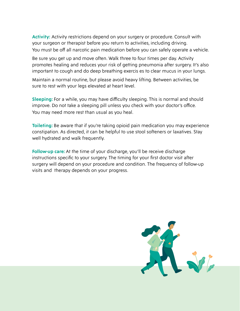**Activity:** Activity restrictions depend on your surgery or procedure. Consult with your surgeon or therapist before you return to activities, including driving. You must be off all narcotic pain medication before you can safely operate a vehicle.

Be sure you get up and move often. Walk three to four times per day. Activity promotes healing and reduces your risk of getting pneumonia after surgery. It's also important to cough and do deep breathing exercis es to clear mucus in your lungs.

Maintain a normal routine, but please avoid heavy lifting. Between activities, be sure to rest with your legs elevated at heart level.

**Sleeping:** For a while, you may have difficulty sleeping. This is normal and should improve. Do not take a sleeping pill unless you check with your doctor's office. You may need more rest than usual as you heal.

**Toileting:** Be aware that if you're taking opioid pain medication you may experience constipation. As directed, it can be helpful to use stool softeners or laxatives. Stay well hydrated and walk frequently.

**Follow-up care:** At the time of your discharge, you'll be receive discharge instructions specific to your surgery. The timing for your first doctor visit after surgery will depend on your procedure and condition. The frequency of follow-up visits and therapy depends on your progress.

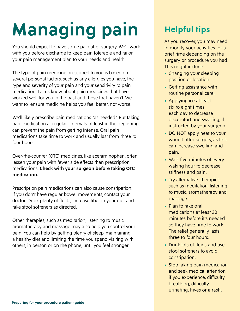# **Managing pain**

You should expect to have some pain after surgery. We'll work with you before discharge to keep pain tolerable and tailor your pain management plan to your needs and health.

The type of pain medicine prescribed to you is based on several personal factors, such as any allergies you have, the type and severity of your pain and your sensitivity to pain medication. Let us know about pain medicines that have worked well for you in the past and those that haven't. We want to ensure medicine helps you feel better, not worse.

We'll likely prescribe pain medications "as needed." But taking pain medication at regular intervals, at least in the beginning, can prevent the pain from getting intense. Oral pain medications take time to work and usually last from three to four hours.

Over-the-counter (OTC) medicines, like acetaminophen, often lessen your pain with fewer side effects than prescription medications. **Check with your surgeon before taking OTC medication.**

Prescription pain medications can also cause constipation. If you don't have regular bowel movements, contact your doctor. Drink plenty of fluids, increase fiber in your diet and take stool softeners as directed.

Other therapies, such as meditation, listening to music, aromatherapy and massage may also help you control your pain. You can help by getting plenty of sleep, maintaining a healthy diet and limiting the time you spend visiting with others, in person or on the phone, until you feel stronger.

## **Helpful tips**

As you recover, you may need to modify your activities for a brief time depending on the surgery or procedure you had. This might include:

- Changing your sleeping position or location
- Getting assistance with routine personal care.
- Applying ice at least six to eight times each day to decrease discomfort and swelling, if instructed by your surgeon
- DO NOT apply heat to your wound after surgery, as this can increase swelling and pain.
- Walk five minutes of every waking hour to decrease stiffness and pain.
- Try alternative therapies such as meditation, listening to music, aromatherapy and massage.
- Plan to take oral medications at least 30 minutes before it's needed so they have time to work. The relief generally lasts three to four hours.
- Drink lots of fluids and use stool softeners to avoid constipation.
- Stop taking pain medication and seek medical attention if you experience, difficulty breathing, difficulty urinating, hives or a rash.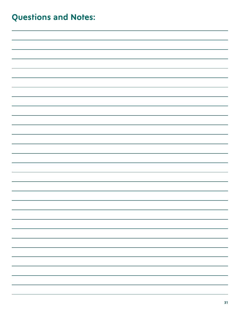| <b>Questions and Notes:</b> |  |  |  |
|-----------------------------|--|--|--|
|                             |  |  |  |
|                             |  |  |  |
|                             |  |  |  |
|                             |  |  |  |
|                             |  |  |  |
|                             |  |  |  |
|                             |  |  |  |
|                             |  |  |  |
|                             |  |  |  |
|                             |  |  |  |
|                             |  |  |  |
|                             |  |  |  |
|                             |  |  |  |
|                             |  |  |  |
|                             |  |  |  |
|                             |  |  |  |
|                             |  |  |  |
|                             |  |  |  |
|                             |  |  |  |
|                             |  |  |  |
|                             |  |  |  |
|                             |  |  |  |
|                             |  |  |  |
|                             |  |  |  |
|                             |  |  |  |
|                             |  |  |  |